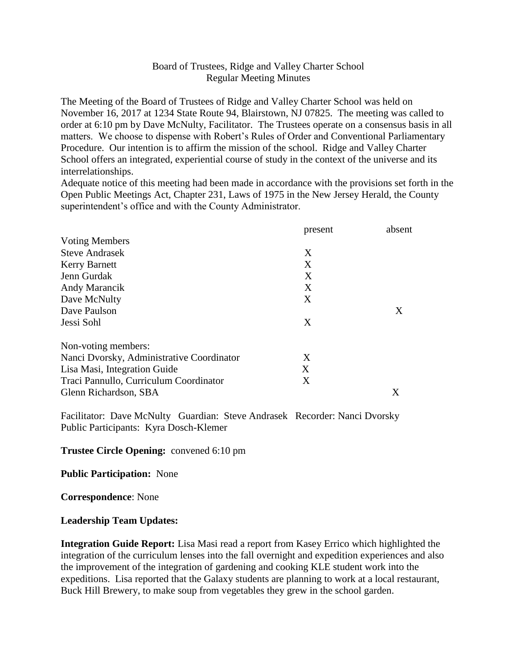## Board of Trustees, Ridge and Valley Charter School Regular Meeting Minutes

The Meeting of the Board of Trustees of Ridge and Valley Charter School was held on November 16, 2017 at 1234 State Route 94, Blairstown, NJ 07825. The meeting was called to order at 6:10 pm by Dave McNulty, Facilitator. The Trustees operate on a consensus basis in all matters. We choose to dispense with Robert's Rules of Order and Conventional Parliamentary Procedure. Our intention is to affirm the mission of the school. Ridge and Valley Charter School offers an integrated, experiential course of study in the context of the universe and its interrelationships.

Adequate notice of this meeting had been made in accordance with the provisions set forth in the Open Public Meetings Act, Chapter 231, Laws of 1975 in the New Jersey Herald, the County superintendent's office and with the County Administrator.

|                                           | present | absent |
|-------------------------------------------|---------|--------|
| <b>Voting Members</b>                     |         |        |
| <b>Steve Andrasek</b>                     | X       |        |
| <b>Kerry Barnett</b>                      | X       |        |
| Jenn Gurdak                               | X       |        |
| Andy Marancik                             | X       |        |
| Dave McNulty                              | X       |        |
| Dave Paulson                              |         | X      |
| Jessi Sohl                                | X       |        |
| Non-voting members:                       |         |        |
| Nanci Dvorsky, Administrative Coordinator | Χ       |        |
| Lisa Masi, Integration Guide              | X       |        |
| Traci Pannullo, Curriculum Coordinator    | X       |        |
| Glenn Richardson, SBA                     |         | X      |

Facilitator: Dave McNulty Guardian: Steve Andrasek Recorder: Nanci Dvorsky Public Participants: Kyra Dosch-Klemer

**Trustee Circle Opening:** convened 6:10 pm

**Public Participation:** None

**Correspondence**: None

## **Leadership Team Updates:**

**Integration Guide Report:** Lisa Masi read a report from Kasey Errico which highlighted the integration of the curriculum lenses into the fall overnight and expedition experiences and also the improvement of the integration of gardening and cooking KLE student work into the expeditions. Lisa reported that the Galaxy students are planning to work at a local restaurant, Buck Hill Brewery, to make soup from vegetables they grew in the school garden.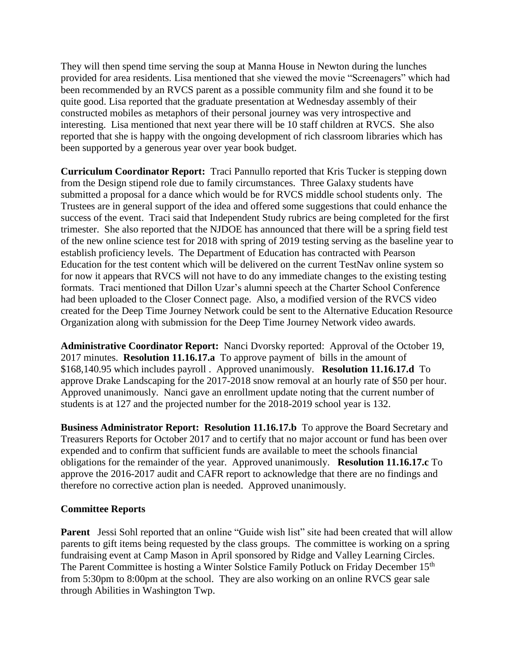They will then spend time serving the soup at Manna House in Newton during the lunches provided for area residents. Lisa mentioned that she viewed the movie "Screenagers" which had been recommended by an RVCS parent as a possible community film and she found it to be quite good. Lisa reported that the graduate presentation at Wednesday assembly of their constructed mobiles as metaphors of their personal journey was very introspective and interesting. Lisa mentioned that next year there will be 10 staff children at RVCS. She also reported that she is happy with the ongoing development of rich classroom libraries which has been supported by a generous year over year book budget.

**Curriculum Coordinator Report:** Traci Pannullo reported that Kris Tucker is stepping down from the Design stipend role due to family circumstances. Three Galaxy students have submitted a proposal for a dance which would be for RVCS middle school students only. The Trustees are in general support of the idea and offered some suggestions that could enhance the success of the event. Traci said that Independent Study rubrics are being completed for the first trimester. She also reported that the NJDOE has announced that there will be a spring field test of the new online science test for 2018 with spring of 2019 testing serving as the baseline year to establish proficiency levels. The Department of Education has contracted with Pearson Education for the test content which will be delivered on the current TestNav online system so for now it appears that RVCS will not have to do any immediate changes to the existing testing formats. Traci mentioned that Dillon Uzar's alumni speech at the Charter School Conference had been uploaded to the Closer Connect page. Also, a modified version of the RVCS video created for the Deep Time Journey Network could be sent to the Alternative Education Resource Organization along with submission for the Deep Time Journey Network video awards.

**Administrative Coordinator Report:** Nanci Dvorsky reported: Approval of the October 19, 2017 minutes. **Resolution 11.16.17.a** To approve payment of bills in the amount of \$168,140.95 which includes payroll . Approved unanimously. **Resolution 11.16.17.d** To approve Drake Landscaping for the 2017-2018 snow removal at an hourly rate of \$50 per hour. Approved unanimously. Nanci gave an enrollment update noting that the current number of students is at 127 and the projected number for the 2018-2019 school year is 132.

**Business Administrator Report: Resolution 11.16.17.b** To approve the Board Secretary and Treasurers Reports for October 2017 and to certify that no major account or fund has been over expended and to confirm that sufficient funds are available to meet the schools financial obligations for the remainder of the year. Approved unanimously. **Resolution 11.16.17.c** To approve the 2016-2017 audit and CAFR report to acknowledge that there are no findings and therefore no corrective action plan is needed. Approved unanimously.

## **Committee Reports**

**Parent** Jessi Sohl reported that an online "Guide wish list" site had been created that will allow parents to gift items being requested by the class groups. The committee is working on a spring fundraising event at Camp Mason in April sponsored by Ridge and Valley Learning Circles. The Parent Committee is hosting a Winter Solstice Family Potluck on Friday December 15<sup>th</sup> from 5:30pm to 8:00pm at the school. They are also working on an online RVCS gear sale through Abilities in Washington Twp.